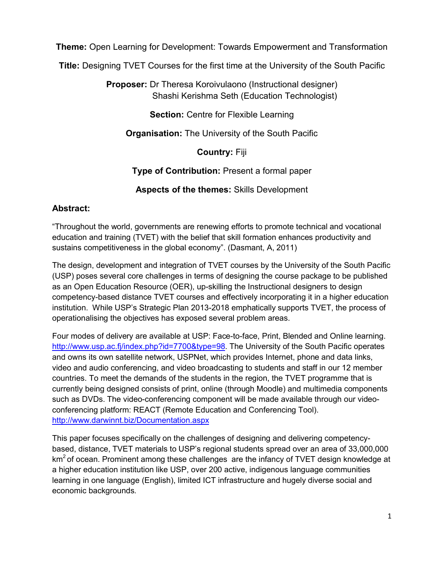**Theme:** Open Learning for Development: Towards Empowerment and Transformation

**Title:** Designing TVET Courses for the first time at the University of the South Pacific

**Proposer:** Dr Theresa Koroivulaono (Instructional designer) Shashi Kerishma Seth (Education Technologist)

**Section:** Centre for Flexible Learning

**Organisation:** The University of the South Pacific

**Country:** Fiji

**Type of Contribution:** Present a formal paper

**Aspects of the themes:** Skills Development

#### **Abstract:**

"Throughout the world, governments are renewing efforts to promote technical and vocational education and training (TVET) with the belief that skill formation enhances productivity and sustains competitiveness in the global economy". (Dasmant, A, 2011)

The design, development and integration of TVET courses by the University of the South Pacific (USP) poses several core challenges in terms of designing the course package to be published as an Open Education Resource (OER), up-skilling the Instructional designers to design competency-based distance TVET courses and effectively incorporating it in a higher education institution. While USP's Strategic Plan 2013-2018 emphatically supports TVET, the process of operationalising the objectives has exposed several problem areas.

Four modes of delivery are available at USP: Face-to-face, Print, Blended and Online learning. [http://www.usp.ac.fj/index.php?id=7700&type=98.](http://www.usp.ac.fj/index.php?id=7700&type=98) The University of the South Pacific operates and owns its own satellite network, USPNet, which provides Internet, phone and data links, video and audio conferencing, and video broadcasting to students and staff in our 12 member countries. To meet the demands of the students in the region, the TVET programme that is currently being designed consists of print, online (through Moodle) and multimedia components such as DVDs. The video-conferencing component will be made available through our videoconferencing platform: REACT (Remote Education and Conferencing Tool). <http://www.darwinnt.biz/Documentation.aspx>

This paper focuses specifically on the challenges of designing and delivering competencybased, distance, TVET materials to USP's regional students spread over an area of 33,000,000  $km<sup>2</sup>$  of ocean. Prominent among these challenges are the infancy of TVET design knowledge at a higher education institution like USP, over 200 active, indigenous language communities learning in one language (English), limited ICT infrastructure and hugely diverse social and economic backgrounds.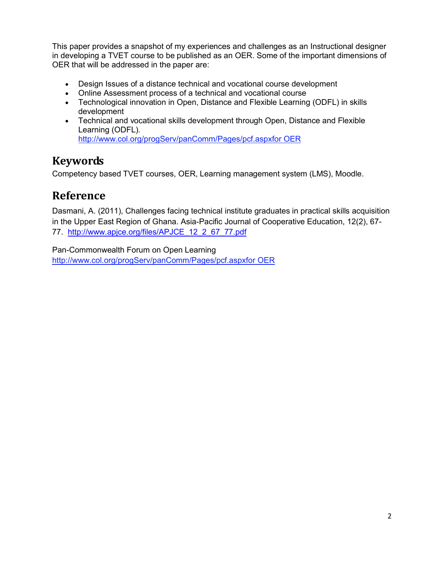This paper provides a snapshot of my experiences and challenges as an Instructional designer in developing a TVET course to be published as an OER. Some of the important dimensions of OER that will be addressed in the paper are:

- Design Issues of a distance technical and vocational course development
- Online Assessment process of a technical and vocational course
- Technological innovation in Open, Distance and Flexible Learning (ODFL) in skills development
- Technical and vocational skills development through Open, Distance and Flexible Learning (ODFL). http://www.col.org/progServ/panComm/Pages/pcf.aspxfor OER

## **Keywords**

Competency based TVET courses, OER, Learning management system (LMS), Moodle.

## **Reference**

Dasmani, A. (2011), Challenges facing technical institute graduates in practical skills acquisition in the Upper East Region of Ghana. Asia-Pacific Journal of Cooperative Education, 12(2), 67- 77. [http://www.apjce.org/files/APJCE\\_12\\_2\\_67\\_77.pdf](http://www.apjce.org/files/APJCE_12_2_67_77.pdf)

Pan-Commonwealth Forum on Open Learning http://www.col.org/progServ/panComm/Pages/pcf.aspxfor OER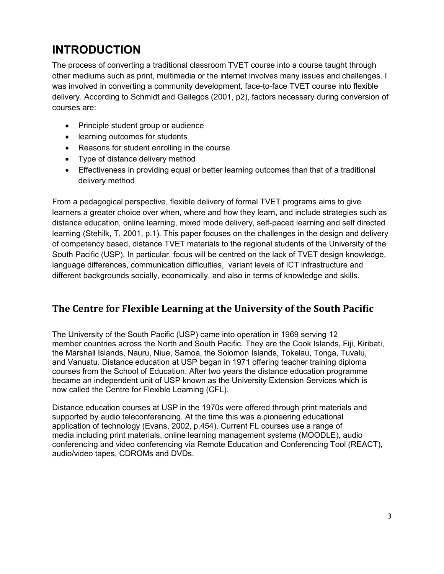# **INTRODUCTION**

The process of converting a traditional classroom TVET course into a course taught through other mediums such as print, multimedia or the internet involves many issues and challenges. I was involved in converting a community development, face-to-face TVET course into flexible delivery. According to Schmidt and Gallegos (2001, p2), factors necessary during conversion of courses are:

- Principle student group or audience
- learning outcomes for students
- Reasons for student enrolling in the course
- ∑ Type of distance delivery method
- Effectiveness in providing equal or better learning outcomes than that of a traditional delivery method

From a pedagogical perspective, flexible delivery of formal TVET programs aims to give learners a greater choice over when, where and how they learn, and include strategies such as distance education, online learning, mixed mode delivery, self-paced learning and self directed learning (Stehilk, T, 2001, p.1). This paper focuses on the challenges in the design and delivery of competency based, distance TVET materials to the regional students of the University of the South Pacific (USP). In particular, focus will be centred on the lack of TVET design knowledge, language differences, communication difficulties, variant levels of ICT infrastructure and different backgrounds socially, economically, and also in terms of knowledge and skills.

#### **The Centre for Flexible Learning at the University of the South Pacific**

The University of the South Pacific (USP) came into operation in 1969 serving 12 member countries across the North and South Pacific. They are the Cook Islands, Fiji, Kiribati, the Marshall Islands, Nauru, Niue, Samoa, the Solomon Islands, Tokelau, Tonga, Tuvalu, and Vanuatu. Distance education at USP began in 1971 offering teacher training diploma courses from the School of Education. After two years the distance education programme became an independent unit of USP known as the University Extension Services which is now called the Centre for Flexible Learning (CFL).

Distance education courses at USP in the 1970s were offered through print materials and supported by audio teleconferencing. At the time this was a pioneering educational application of technology (Evans, 2002, p.454). Current FL courses use a range of media including print materials, online learning management systems (MOODLE), audio conferencing and video conferencing via Remote Education and Conferencing Tool (REACT), audio/video tapes, CDROMs and DVDs.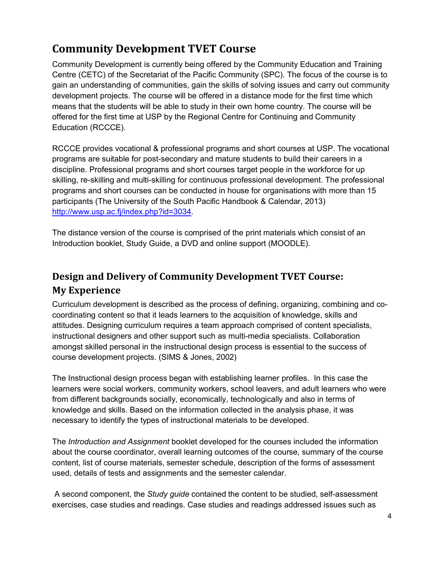# **Community Development TVET Course**

Community Development is currently being offered by the Community Education and Training Centre (CETC) of the Secretariat of the Pacific Community (SPC). The focus of the course is to gain an understanding of communities, gain the skills of solving issues and carry out community development projects. The course will be offered in a distance mode for the first time which means that the students will be able to study in their own home country. The course will be offered for the first time at USP by the Regional Centre for Continuing and Community Education (RCCCE).

RCCCE provides vocational & professional programs and short courses at USP. The vocational programs are suitable for post-secondary and mature students to build their careers in a discipline. Professional programs and short courses target people in the workforce for up skilling, re-skilling and multi-skilling for continuous professional development. The professional programs and short courses can be conducted in house for organisations with more than 15 participants (The University of the South Pacific Handbook & Calendar, 2013) [http://www.usp.ac.fj/index.php?id=3034.](http://www.usp.ac.fj/index.php?id=3034)

The distance version of the course is comprised of the print materials which consist of an Introduction booklet, Study Guide, a DVD and online support (MOODLE).

## **Design and Delivery of Community Development TVET Course: My Experience**

Curriculum development is described as the process of defining, organizing, combining and cocoordinating content so that it leads learners to the acquisition of knowledge, skills and attitudes. Designing curriculum requires a team approach comprised of content specialists, instructional designers and other support such as multi-media specialists. Collaboration amongst skilled personal in the instructional design process is essential to the success of course development projects. (SIMS & Jones, 2002)

The Instructional design process began with establishing learner profiles. In this case the learners were social workers, community workers, school leavers, and adult learners who were from different backgrounds socially, economically, technologically and also in terms of knowledge and skills. Based on the information collected in the analysis phase, it was necessary to identify the types of instructional materials to be developed.

The *Introduction and Assignment* booklet developed for the courses included the information about the course coordinator, overall learning outcomes of the course, summary of the course content, list of course materials, semester schedule, description of the forms of assessment used, details of tests and assignments and the semester calendar.

A second component, the *Study guide* contained the content to be studied, self-assessment exercises, case studies and readings. Case studies and readings addressed issues such as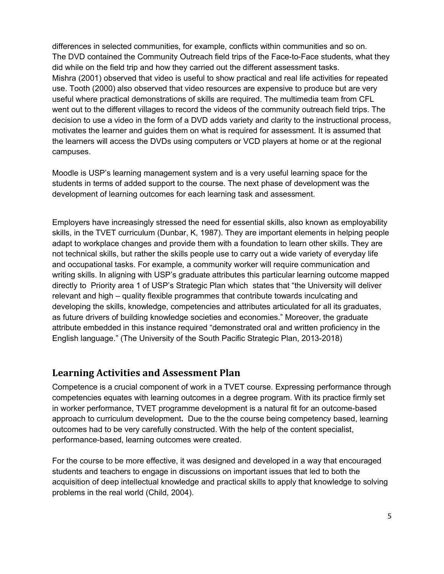differences in selected communities, for example, conflicts within communities and so on. The DVD contained the Community Outreach field trips of the Face-to-Face students, what they did while on the field trip and how they carried out the different assessment tasks. Mishra (2001) observed that video is useful to show practical and real life activities for repeated use. Tooth (2000) also observed that video resources are expensive to produce but are very useful where practical demonstrations of skills are required. The multimedia team from CFL went out to the different villages to record the videos of the community outreach field trips. The decision to use a video in the form of a DVD adds variety and clarity to the instructional process, motivates the learner and guides them on what is required for assessment. It is assumed that the learners will access the DVDs using computers or VCD players at home or at the regional campuses.

Moodle is USP's learning management system and is a very useful learning space for the students in terms of added support to the course. The next phase of development was the development of learning outcomes for each learning task and assessment.

Employers have increasingly stressed the need for essential skills, also known as employability skills, in the TVET curriculum (Dunbar, K, 1987). They are important elements in helping people adapt to workplace changes and provide them with a foundation to learn other skills. They are not technical skills, but rather the skills people use to carry out a wide variety of everyday life and occupational tasks. For example, a community worker will require communication and writing skills. In aligning with USP's graduate attributes this particular learning outcome mapped directly to Priority area 1 of USP's Strategic Plan which states that "the University will deliver relevant and high – quality flexible programmes that contribute towards inculcating and developing the skills, knowledge, competencies and attributes articulated for all its graduates, as future drivers of building knowledge societies and economies." Moreover, the graduate attribute embedded in this instance required "demonstrated oral and written proficiency in the English language." (The University of the South Pacific Strategic Plan, 2013-2018)

#### **Learning Activities and Assessment Plan**

Competence is a crucial component of work in a TVET course. Expressing performance through competencies equates with learning outcomes in a degree program. With its practice firmly set in worker performance, TVET programme development is a natural fit for an outcome-based approach to curriculum development**.** Due to the the course being competency based, learning outcomes had to be very carefully constructed. With the help of the content specialist, performance-based, learning outcomes were created.

For the course to be more effective, it was designed and developed in a way that encouraged students and teachers to engage in discussions on important issues that led to both the acquisition of deep intellectual knowledge and practical skills to apply that knowledge to solving problems in the real world (Child, 2004).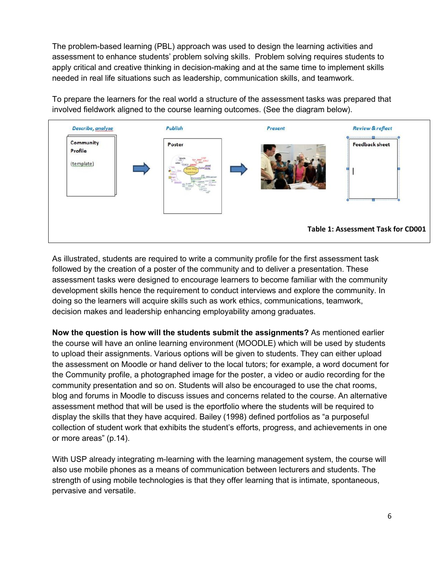The problem-based learning (PBL) approach was used to design the learning activities and assessment to enhance students' problem solving skills. Problem solving requires students to apply critical and creative thinking in decision-making and at the same time to implement skills needed in real life situations such as leadership, communication skills, and teamwork.

To prepare the learners for the real world a structure of the assessment tasks was prepared that involved fieldwork aligned to the course learning outcomes. (See the diagram below).



As illustrated, students are required to write a community profile for the first assessment task followed by the creation of a poster of the community and to deliver a presentation. These assessment tasks were designed to encourage learners to become familiar with the community development skills hence the requirement to conduct interviews and explore the community. In doing so the learners will acquire skills such as work ethics, communications, teamwork, decision makes and leadership enhancing employability among graduates.

**Now the question is how will the students submit the assignments?** As mentioned earlier the course will have an online learning environment (MOODLE) which will be used by students to upload their assignments. Various options will be given to students. They can either upload the assessment on Moodle or hand deliver to the local tutors; for example, a word document for the Community profile, a photographed image for the poster, a video or audio recording for the community presentation and so on. Students will also be encouraged to use the chat rooms, blog and forums in Moodle to discuss issues and concerns related to the course. An alternative assessment method that will be used is the eportfolio where the students will be required to display the skills that they have acquired. Bailey (1998) defined portfolios as "a purposeful collection of student work that exhibits the student's efforts, progress, and achievements in one or more areas" (p.14).

With USP already integrating m-learning with the learning management system, the course will also use mobile phones as a means of communication between lecturers and students. The strength of using mobile technologies is that they offer learning that is intimate, spontaneous, pervasive and versatile.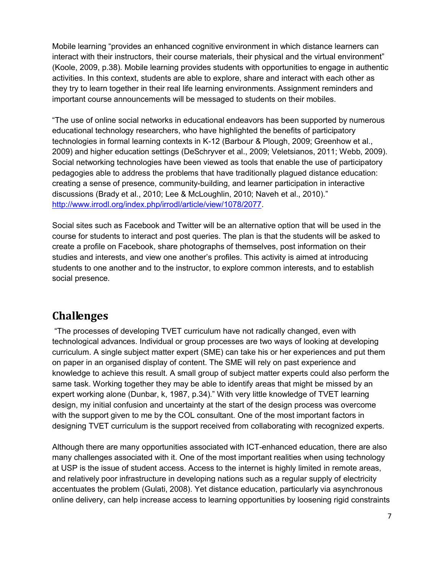Mobile learning "provides an enhanced cognitive environment in which distance learners can interact with their instructors, their course materials, their physical and the virtual environment" (Koole, 2009, p.38). Mobile learning provides students with opportunities to engage in authentic activities. In this context, students are able to explore, share and interact with each other as they try to learn together in their real life learning environments. Assignment reminders and important course announcements will be messaged to students on their mobiles.

"The use of online social networks in educational endeavors has been supported by numerous educational technology researchers, who have highlighted the benefits of participatory technologies in formal learning contexts in K-12 (Barbour & Plough, 2009; Greenhow et al., 2009) and higher education settings (DeSchryver et al., 2009; Veletsianos, 2011; Webb, 2009). Social networking technologies have been viewed as tools that enable the use of participatory pedagogies able to address the problems that have traditionally plagued distance education: creating a sense of presence, community-building, and learner participation in interactive discussions (Brady et al., 2010; Lee & McLoughlin, 2010; Naveh et al., 2010)." [http://www.irrodl.org/index.php/irrodl/article/view/1078/2077.](http://www.irrodl.org/index.php/irrodl/article/view/1078/2077)

Social sites such as Facebook and Twitter will be an alternative option that will be used in the course for students to interact and post queries. The plan is that the students will be asked to create a profile on Facebook, share photographs of themselves, post information on their studies and interests, and view one another's profiles. This activity is aimed at introducing students to one another and to the instructor, to explore common interests, and to establish social presence.

#### **Challenges**

"The processes of developing TVET curriculum have not radically changed, even with technological advances. Individual or group processes are two ways of looking at developing curriculum. A single subject matter expert (SME) can take his or her experiences and put them on paper in an organised display of content. The SME will rely on past experience and knowledge to achieve this result. A small group of subject matter experts could also perform the same task. Working together they may be able to identify areas that might be missed by an expert working alone (Dunbar, k, 1987, p.34)." With very little knowledge of TVET learning design, my initial confusion and uncertainty at the start of the design process was overcome with the support given to me by the COL consultant. One of the most important factors in designing TVET curriculum is the support received from collaborating with recognized experts.

Although there are many opportunities associated with ICT-enhanced education, there are also many challenges associated with it. One of the most important realities when using technology at USP is the issue of student access. Access to the internet is highly limited in remote areas, and relatively poor infrastructure in developing nations such as a regular supply of electricity accentuates the problem (Gulati, 2008). Yet distance education, particularly via asynchronous online delivery, can help increase access to learning opportunities by loosening rigid constraints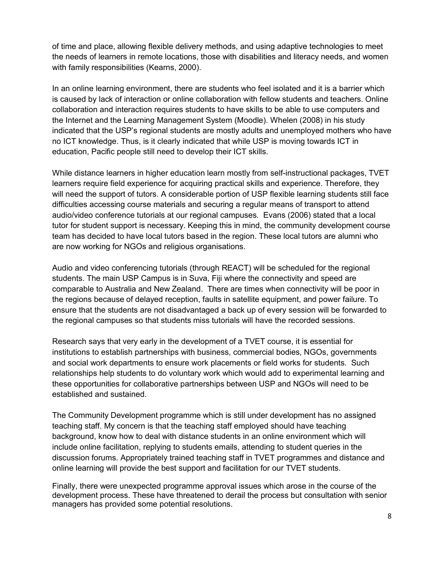of time and place, allowing flexible delivery methods, and using adaptive technologies to meet the needs of learners in remote locations, those with disabilities and literacy needs, and women with family responsibilities (Kearns, 2000).

In an online learning environment, there are students who feel isolated and it is a barrier which is caused by lack of interaction or online collaboration with fellow students and teachers. Online collaboration and interaction requires students to have skills to be able to use computers and the Internet and the Learning Management System (Moodle). Whelen (2008) in his study indicated that the USP's regional students are mostly adults and unemployed mothers who have no ICT knowledge. Thus, is it clearly indicated that while USP is moving towards ICT in education, Pacific people still need to develop their ICT skills.

While distance learners in higher education learn mostly from self-instructional packages, TVET learners require field experience for acquiring practical skills and experience. Therefore, they will need the support of tutors. A considerable portion of USP flexible learning students still face difficulties accessing course materials and securing a regular means of transport to attend audio/video conference tutorials at our regional campuses. Evans (2006) stated that a local tutor for student support is necessary. Keeping this in mind, the community development course team has decided to have local tutors based in the region. These local tutors are alumni who are now working for NGOs and religious organisations.

Audio and video conferencing tutorials (through REACT) will be scheduled for the regional students. The main USP Campus is in Suva, Fiji where the connectivity and speed are comparable to Australia and New Zealand. There are times when connectivity will be poor in the regions because of delayed reception, faults in satellite equipment, and power failure. To ensure that the students are not disadvantaged a back up of every session will be forwarded to the regional campuses so that students miss tutorials will have the recorded sessions.

Research says that very early in the development of a TVET course, it is essential for institutions to establish partnerships with business, commercial bodies, NGOs, governments and social work departments to ensure work placements or field works for students. Such relationships help students to do voluntary work which would add to experimental learning and these opportunities for collaborative partnerships between USP and NGOs will need to be established and sustained.

The Community Development programme which is still under development has no assigned teaching staff. My concern is that the teaching staff employed should have teaching background, know how to deal with distance students in an online environment which will include online facilitation, replying to students emails, attending to student queries in the discussion forums. Appropriately trained teaching staff in TVET programmes and distance and online learning will provide the best support and facilitation for our TVET students.

Finally, there were unexpected programme approval issues which arose in the course of the development process. These have threatened to derail the process but consultation with senior managers has provided some potential resolutions.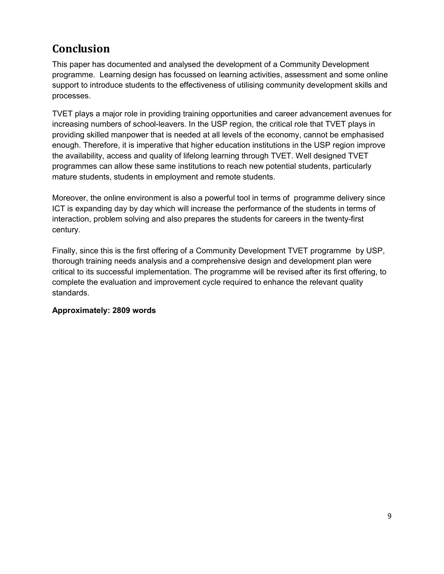# **Conclusion**

This paper has documented and analysed the development of a Community Development programme. Learning design has focussed on learning activities, assessment and some online support to introduce students to the effectiveness of utilising community development skills and processes.

TVET plays a major role in providing training opportunities and career advancement avenues for increasing numbers of school-leavers. In the USP region, the critical role that TVET plays in providing skilled manpower that is needed at all levels of the economy, cannot be emphasised enough. Therefore, it is imperative that higher education institutions in the USP region improve the availability, access and quality of lifelong learning through TVET. Well designed TVET programmes can allow these same institutions to reach new potential students, particularly mature students, students in employment and remote students.

Moreover, the online environment is also a powerful tool in terms of programme delivery since ICT is expanding day by day which will increase the performance of the students in terms of interaction, problem solving and also prepares the students for careers in the twenty-first century.

Finally, since this is the first offering of a Community Development TVET programme by USP, thorough training needs analysis and a comprehensive design and development plan were critical to its successful implementation. The programme will be revised after its first offering, to complete the evaluation and improvement cycle required to enhance the relevant quality standards.

#### **Approximately: 2809 words**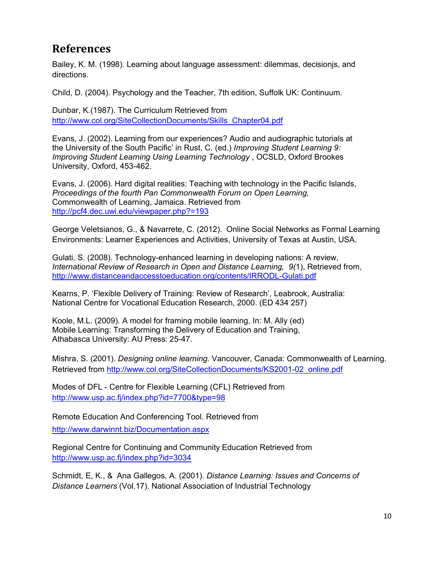## **References**

Bailey, K. M. (1998). Learning about language assessment: dilemmas, decisionjs, and directions.

Child, D. (2004). Psychology and the Teacher, 7th edition, Suffolk UK: Continuum.

Dunbar, K.(1987). The Curriculum Retrieved from [http://www.col.org/SiteCollectionDocuments/Skills\\_Chapter04.pdf](http://www.col.org/SiteCollectionDocuments/Skills_Chapter04.pdf)

Evans, J. (2002). Learning from our experiences? Audio and audiographic tutorials at the University of the South Pacific' in Rust, C. (ed.) *Improving Student Learning 9: Improving Student Learning Using Learning Technology* , OCSLD, Oxford Brookes University, Oxford, 453-462.

Evans, J. (2006). Hard digital realities: Teaching with technology in the Pacific Islands, *Proceedings of the fourth Pan Commonwealth Forum on Open Learning,* Commonwealth of Learning, Jamaica. Retrieved from <http://pcf4.dec.uwi.edu/viewpaper.php?=193>

George Veletsianos, G., & Navarrete, C. (2012). Online Social Networks as Formal Learning Environments: Learner Experiences and Activities, University of Texas at Austin, USA.

Gulati, S. (2008). Technology-enhanced learning in developing nations: A review, *International Review of Research in Open and Distance Learning, 9(*1), Retrieved from, <http://www.distanceandaccesstoeducation.org/contents/IRRODL-Gulati.pdf>

Kearns, P. 'Flexible Delivery of Training: Review of Research'*,* Leabrook, Australia: National Centre for Vocational Education Research, 2000. (ED 434 257)

Koole, M.L. (2009). A model for framing mobile learning, In: M. Ally (ed) Mobile Learning: Transforming the Delivery of Education and Training, Athabasca University: AU Press: 25-47.

Mishra, S. (2001). *Designing online learning.* Vancouver, Canada: Commonwealth of Learning. Retrieved from [http://www.col.org/SiteCollectionDocuments/KS2001-02\\_online.pdf](http://www.col.org/SiteCollectionDocuments/KS2001-02_online.pdf)

Modes of DFL - Centre for Flexible Learning (CFL) Retrieved from <http://www.usp.ac.fj/index.php?id=7700&type=98>

Remote Education And Conferencing Tool. Retrieved from <http://www.darwinnt.biz/Documentation.aspx>

Regional Centre for Continuing and Community Education Retrieved from <http://www.usp.ac.fj/index.php?id=3034>

Schmidt, E, K., & Ana Gallegos, A. (2001). *Distance Learning: Issues and Concerns of Distance Learners* (Vol.17). National Association of Industrial Technology